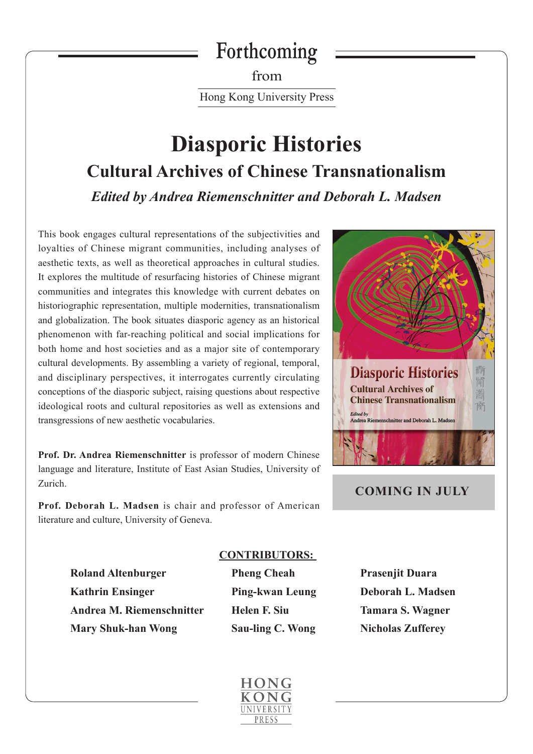# **Forthcoming**

from Hong Kong University Press

# **Diasporic Histories Cultural Archives of Chinese Transnationalism** *Edited by Andrea Riemenschnitter and Deborah L. Madsen*

This book engages cultural representations of the subjectivities and loyalties of Chinese migrant communities, including analyses of aesthetic texts, as well as theoretical approaches in cultural studies. It explores the multitude of resurfacing histories of Chinese migrant communities and integrates this knowledge with current debates on historiographic representation, multiple modernities, transnationalism and globalization. The book situates diasporic agency as an historical phenomenon with far-reaching political and social implications for both home and host societies and as a major site of contemporary cultural developments. By assembling a variety of regional, temporal, and disciplinary perspectives, it interrogates currently circulating conceptions of the diasporic subject, raising questions about respective ideological roots and cultural repositories as well as extensions and transgressions of new aesthetic vocabularies.

**Prof. Dr. Andrea Riemenschnitter** is professor of modern Chinese language and literature, Institute of East Asian Studies, University of Zurich.

**Prof. Deborah L. Madsen** is chair and professor of American literature and culture, University of Geneva.



## **COMING IN JULY**

**Roland Altenburger** Pheng Cheah Prasenjit Duara  **Kathrin Ensinger Ping-kwan Leung Deborah L. Madsen Andrea M. Riemenschnitter Helen F. Siu Tamara S. Wagner Mary Shuk-han Wong Sau-ling C. Wong Nicholas Zufferey** 

#### **CONTRIBUTORS:**